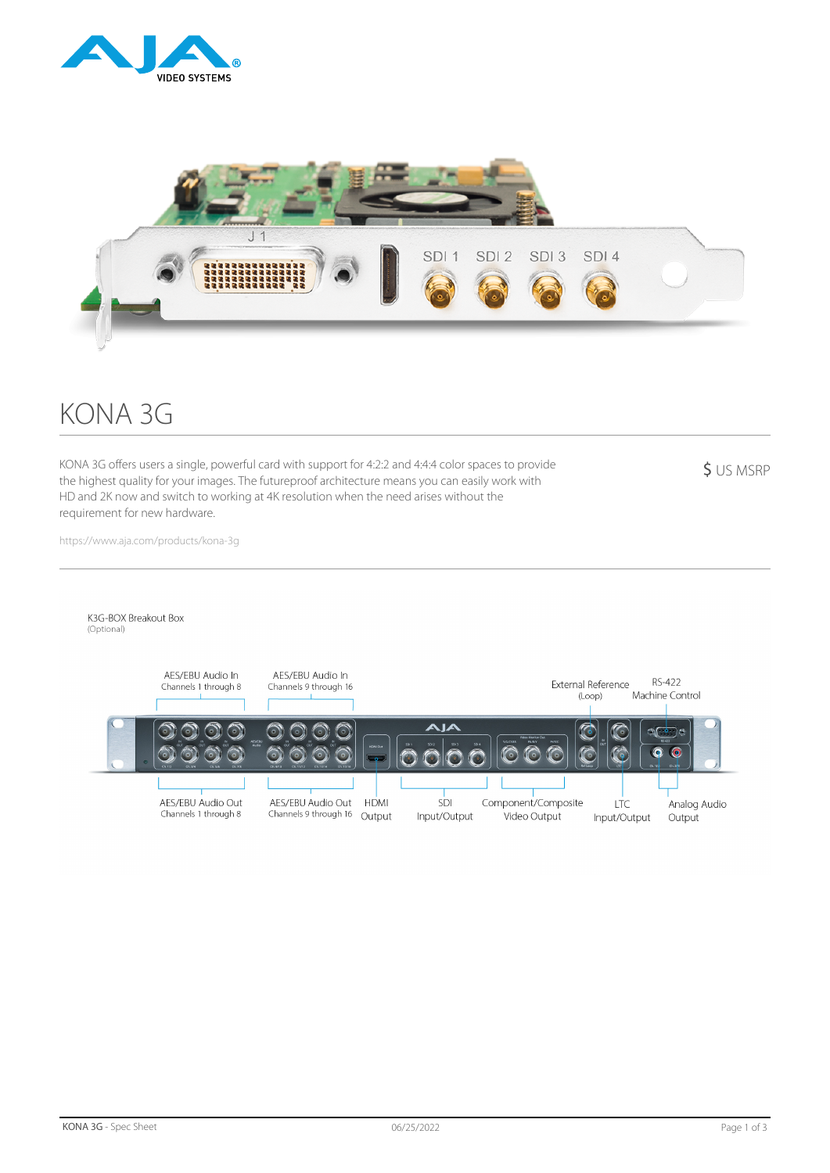



# KONA 3G

KONA 3G offers users a single, powerful card with support for 4:2:2 and 4:4:4 color spaces to provide the highest quality for your images. The futureproof architecture means you can easily work with HD and 2K now and switch to working at 4K resolution when the need arises without the requirement for new hardware.

\$ US MSRP

https://www.aja.com/products/kona-3g

K3G-BOX Breakout Box

(Optional)

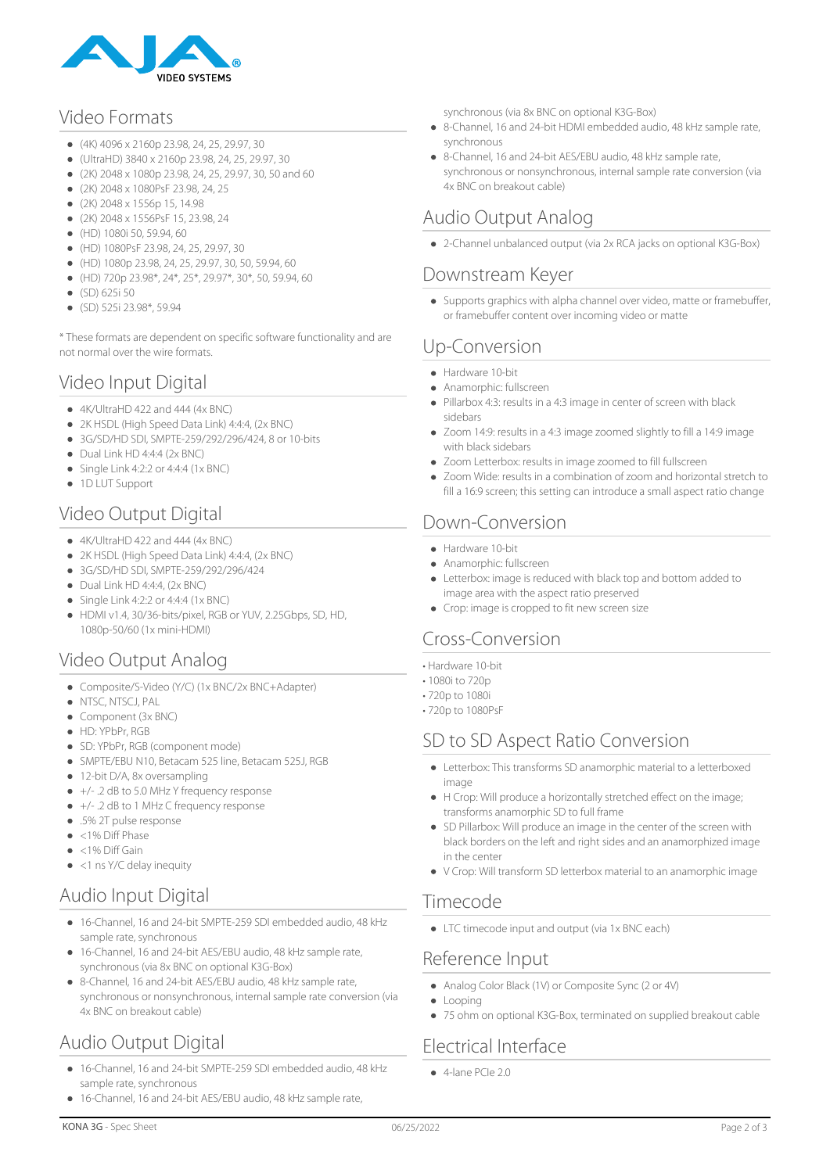

## Video Formats

- $(4K)$  4096 x 2160p 23.98, 24, 25, 29.97, 30
- (UltraHD) 3840 x 2160p 23.98, 24, 25, 29.97, 30
- $(2K)$  2048 x 1080p 23.98, 24, 25, 29.97, 30, 50 and 60
- (2K) 2048 x 1080PsF 23.98, 24, 25
- (2K) 2048 x 1556p 15, 14.98
- (2K) 2048 x 1556PsF 15, 23.98, 24
- (HD) 1080i 50, 59.94, 60
- (HD) 1080PsF 23.98, 24, 25, 29.97, 30
- (HD) 1080p 23.98, 24, 25, 29.97, 30, 50, 59.94, 60
- (HD) 720p 23.98\*, 24\*, 25\*, 29.97\*, 30\*, 50, 59.94, 60
- (SD) 625i 50
- (SD) 525i 23.98\*, 59.94

\* These formats are dependent on specific software functionality and are not normal over the wire formats.

## Video Input Digital

- 4K/UltraHD 422 and 444 (4x BNC)
- 2K HSDL (High Speed Data Link) 4:4:4, (2x BNC)
- 3G/SD/HD SDI, SMPTE-259/292/296/424, 8 or 10-bits
- $\bullet$  Dual Link HD 4:4:4 (2x BNC)
- $\bullet$  Single Link 4:2:2 or 4:4:4 (1x BNC)
- 1D LUT Support

# Video Output Digital

- $\bullet$  4K/UltraHD 422 and 444 (4x BNC)
- 2K HSDL (High Speed Data Link) 4:4:4, (2x BNC)
- 3G/SD/HD SDI, SMPTE-259/292/296/424
- $\bullet$  Dual Link HD 4:4:4, (2x BNC)
- $\bullet$  Single Link 4:2:2 or 4:4:4 (1x BNC)
- HDMI v1.4, 30/36-bits/pixel, RGB or YUV, 2.25Gbps, SD, HD, 1080p-50/60 (1x mini-HDMI)

# Video Output Analog

- Composite/S-Video (Y/C) (1x BNC/2x BNC+Adapter)
- NTSC, NTSCJ, PAL
- Component (3x BNC)
- $\bullet$  HD: YPbPr, RGB
- SD: YPbPr, RGB (component mode)
- SMPTE/EBU N10, Betacam 525 line, Betacam 525J, RGB
- 12-bit D/A, 8x oversampling
- +/- .2 dB to 5.0 MHz Y frequency response
- +/- .2 dB to 1 MHz C frequency response
- .5% 2T pulse response
- $\approx$  <1% Diff Phase
- $\bullet$  <1% Diff Gain
- <1 ns Y/C delay inequity

## Audio Input Digital

- 16-Channel, 16 and 24-bit SMPTE-259 SDI embedded audio, 48 kHz sample rate, synchronous
- 16-Channel, 16 and 24-bit AES/EBU audio, 48 kHz sample rate, synchronous (via 8x BNC on optional K3G-Box)
- 8-Channel, 16 and 24-bit AES/EBU audio, 48 kHz sample rate, synchronous or nonsynchronous, internal sample rate conversion (via 4x BNC on breakout cable)

# Audio Output Digital

- 16-Channel, 16 and 24-bit SMPTE-259 SDI embedded audio, 48 kHz sample rate, synchronous
- 16-Channel, 16 and 24-bit AES/EBU audio, 48 kHz sample rate,

synchronous (via 8x BNC on optional K3G-Box)

- 8-Channel, 16 and 24-bit HDMI embedded audio, 48 kHz sample rate, synchronous
- 8-Channel, 16 and 24-bit AES/EBU audio, 48 kHz sample rate, synchronous or nonsynchronous, internal sample rate conversion (via 4x BNC on breakout cable)

## Audio Output Analog

2-Channel unbalanced output (via 2x RCA jacks on optional K3G-Box)

#### Downstream Keyer

Supports graphics with alpha channel over video, matte or framebuffer, or framebuffer content over incoming video or matte

# Up-Conversion

- Hardware 10-bit
- Anamorphic: fullscreen
- $\bullet$ Pillarbox 4:3: results in a 4:3 image in center of screen with black sidebars
- Zoom 14:9: results in a 4:3 image zoomed slightly to fill a 14:9 image with black sidebars
- Zoom Letterbox: results in image zoomed to fill fullscreen
- Zoom Wide: results in a combination of zoom and horizontal stretch to fill a 16:9 screen; this setting can introduce a small aspect ratio change

## Down-Conversion

- Hardware 10-bit
- Anamorphic: fullscreen
- Letterbox: image is reduced with black top and bottom added to image area with the aspect ratio preserved
- Crop: image is cropped to fit new screen size

## Cross-Conversion

- Hardware 10-bit
- 1080i to 720p
- 720p to 1080i
- 720p to 1080PsF

## SD to SD Aspect Ratio Conversion

- Letterbox: This transforms SD anamorphic material to a letterboxed image
- H Crop: Will produce a horizontally stretched effect on the image; transforms anamorphic SD to full frame
- SD Pillarbox: Will produce an image in the center of the screen with black borders on the left and right sides and an anamorphized image in the center
- V Crop: Will transform SD letterbox material to an anamorphic image

## Timecode

• LTC timecode input and output (via 1x BNC each)

## Reference Input

- Analog Color Black (1V) or Composite Sync (2 or 4V)
- Looping
- 75 ohm on optional K3G-Box, terminated on supplied breakout cable

## Electrical Interface

4-lane PCIe 2.0